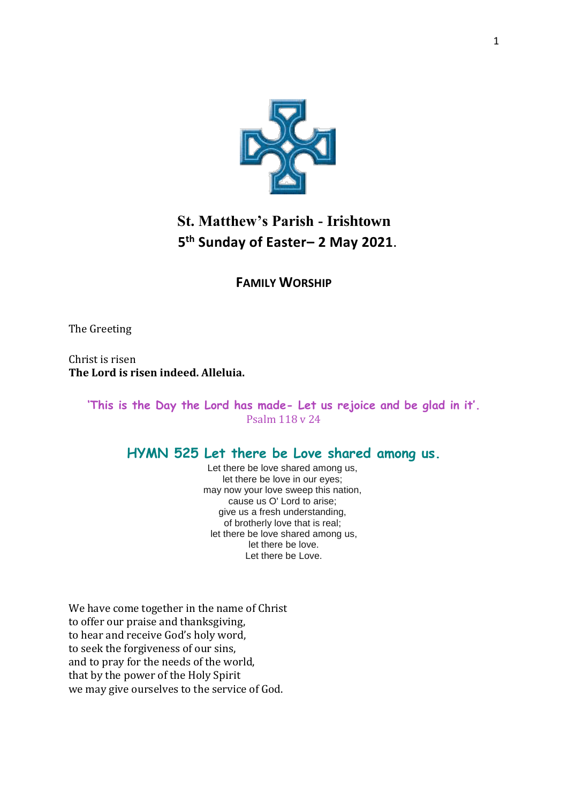

# **St. Matthew's Parish - Irishtown 5 th Sunday of Easter– 2 May 2021**.

### **FAMILY WORSHIP**

The Greeting

Christ is risen **The Lord is risen indeed. Alleluia.**

> **'This is the Day the Lord has made- Let us rejoice and be glad in it'.**  Psalm 118 v 24

#### **HYMN 525 Let there be Love shared among us.**

Let there be love shared among us, let there be love in our eyes; may now your love sweep this nation, cause us O' Lord to arise; give us a fresh understanding, of brotherly love that is real; let there be love shared among us, let there be love. Let there be Love.

We have come together in the name of Christ to offer our praise and thanksgiving, to hear and receive God's holy word, to seek the forgiveness of our sins, and to pray for the needs of the world, that by the power of the Holy Spirit we may give ourselves to the service of God.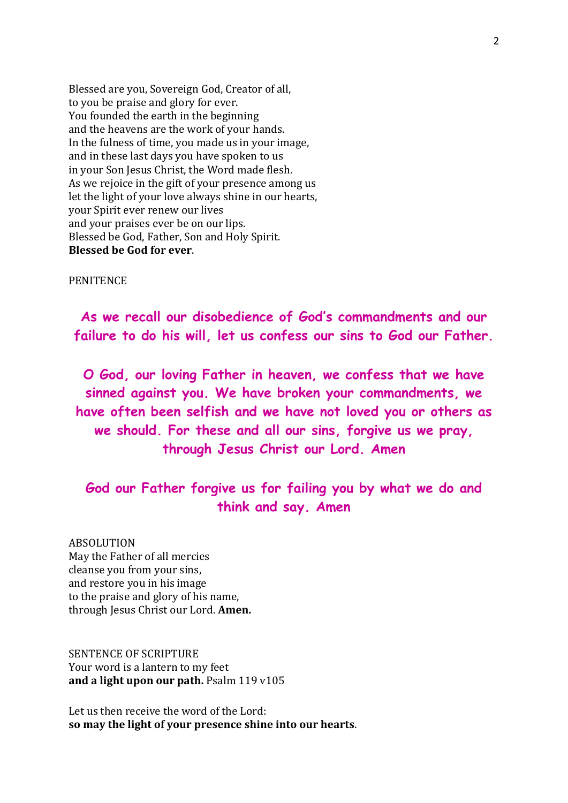Blessed are you, Sovereign God, Creator of all, to you be praise and glory for ever. You founded the earth in the beginning and the heavens are the work of your hands. In the fulness of time, you made us in your image, and in these last days you have spoken to us in your Son Jesus Christ, the Word made flesh. As we rejoice in the gift of your presence among us let the light of your love always shine in our hearts, your Spirit ever renew our lives and your praises ever be on our lips. Blessed be God, Father, Son and Holy Spirit. **Blessed be God for ever**.

#### **PENITENCE**

**As we recall our disobedience of God's commandments and our failure to do his will, let us confess our sins to God our Father.**

**O God, our loving Father in heaven, we confess that we have sinned against you. We have broken your commandments, we have often been selfish and we have not loved you or others as we should. For these and all our sins, forgive us we pray, through Jesus Christ our Lord. Amen**

## **God our Father forgive us for failing you by what we do and think and say. Amen**

ABSOLUTION May the Father of all mercies cleanse you from your sins, and restore you in his image to the praise and glory of his name, through Jesus Christ our Lord. **Amen.**

SENTENCE OF SCRIPTURE Your word is a lantern to my feet **and a light upon our path.** Psalm 119 v105

Let us then receive the word of the Lord: **so may the light of your presence shine into our hearts**.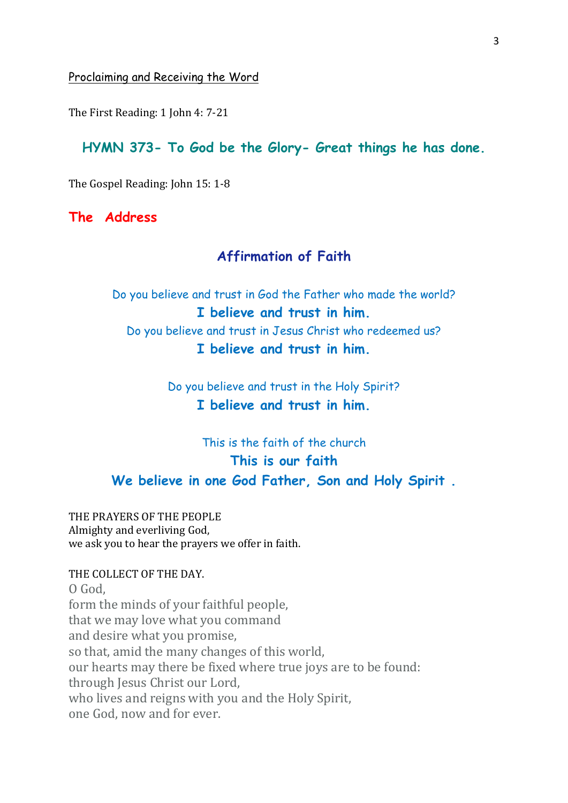Proclaiming and Receiving the Word

The First Reading: 1 John 4: 7-21

#### **HYMN 373- To God be the Glory- Great things he has done.**

The Gospel Reading: John 15: 1-8

**The Address** 

### **Affirmation of Faith**

Do you believe and trust in God the Father who made the world? **I believe and trust in him.** Do you believe and trust in Jesus Christ who redeemed us? **I believe and trust in him.**

> Do you believe and trust in the Holy Spirit? **I believe and trust in him.**

## This is the faith of the church **This is our faith We believe in one God Father, Son and Holy Spirit .**

THE PRAYERS OF THE PEOPLE Almighty and everliving God, we ask you to hear the prayers we offer in faith.

## THE COLLECT OF THE DAY. O God, form the minds of your faithful people,

that we may love what you command and desire what you promise, so that, amid the many changes of this world, our hearts may there be fixed where true joys are to be found: through Jesus Christ our Lord, who lives and reigns with you and the Holy Spirit, one God, now and for ever.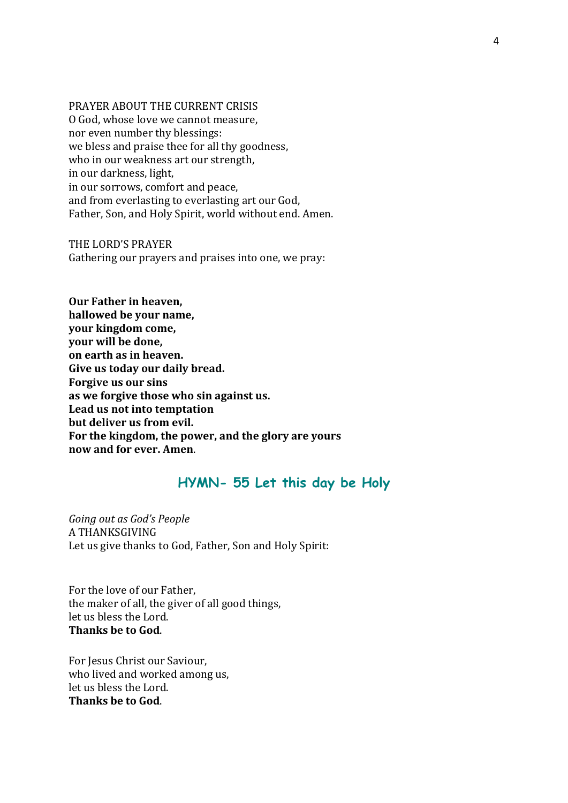PRAYER ABOUT THE CURRENT CRISIS O God, whose love we cannot measure, nor even number thy blessings: we bless and praise thee for all thy goodness, who in our weakness art our strength, in our darkness, light, in our sorrows, comfort and peace, and from everlasting to everlasting art our God, Father, Son, and Holy Spirit, world without end. Amen.

THE LORD'S PRAYER Gathering our prayers and praises into one, we pray:

**Our Father in heaven, hallowed be your name, your kingdom come, your will be done, on earth as in heaven. Give us today our daily bread. Forgive us our sins as we forgive those who sin against us. Lead us not into temptation but deliver us from evil. For the kingdom, the power, and the glory are yours now and for ever. Amen**.

#### **HYMN- 55 Let this day be Holy**

*Going out as God's People* A THANKSGIVING Let us give thanks to God, Father, Son and Holy Spirit:

For the love of our Father, the maker of all, the giver of all good things, let us bless the Lord. **Thanks be to God**.

For Jesus Christ our Saviour, who lived and worked among us, let us bless the Lord. **Thanks be to God**.